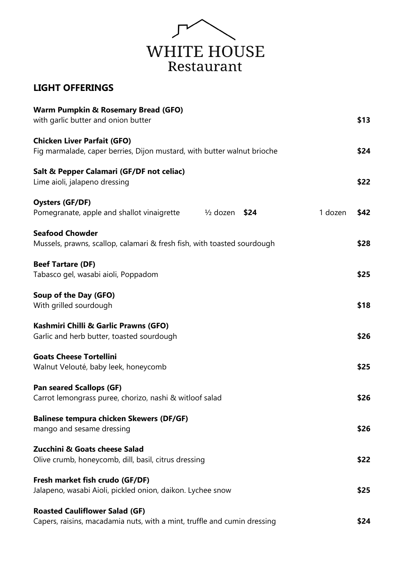

## **LIGHT OFFERINGS**

| <b>Warm Pumpkin &amp; Rosemary Bread (GFO)</b><br>with garlic butter and onion butter                             | \$13 |  |
|-------------------------------------------------------------------------------------------------------------------|------|--|
| <b>Chicken Liver Parfait (GFO)</b><br>Fig marmalade, caper berries, Dijon mustard, with butter walnut brioche     |      |  |
| Salt & Pepper Calamari (GF/DF not celiac)<br>Lime aioli, jalapeno dressing                                        | \$22 |  |
| <b>Oysters (GF/DF)</b><br>1 dozen<br>$\frac{1}{2}$ dozen \$24<br>Pomegranate, apple and shallot vinaigrette       | \$42 |  |
| <b>Seafood Chowder</b><br>Mussels, prawns, scallop, calamari & fresh fish, with toasted sourdough                 | \$28 |  |
| <b>Beef Tartare (DF)</b><br>Tabasco gel, wasabi aioli, Poppadom                                                   | \$25 |  |
| Soup of the Day (GFO)<br>With grilled sourdough                                                                   | \$18 |  |
| Kashmiri Chilli & Garlic Prawns (GFO)<br>Garlic and herb butter, toasted sourdough                                | \$26 |  |
| <b>Goats Cheese Tortellini</b><br>Walnut Velouté, baby leek, honeycomb                                            | \$25 |  |
| <b>Pan seared Scallops (GF)</b><br>Carrot lemongrass puree, chorizo, nashi & witloof salad                        |      |  |
| <b>Balinese tempura chicken Skewers (DF/GF)</b><br>mango and sesame dressing                                      | \$26 |  |
| Zucchini & Goats cheese Salad<br>Olive crumb, honeycomb, dill, basil, citrus dressing                             | \$22 |  |
| Fresh market fish crudo (GF/DF)<br>Jalapeno, wasabi Aioli, pickled onion, daikon. Lychee snow                     | \$25 |  |
| <b>Roasted Cauliflower Salad (GF)</b><br>Capers, raisins, macadamia nuts, with a mint, truffle and cumin dressing | \$24 |  |